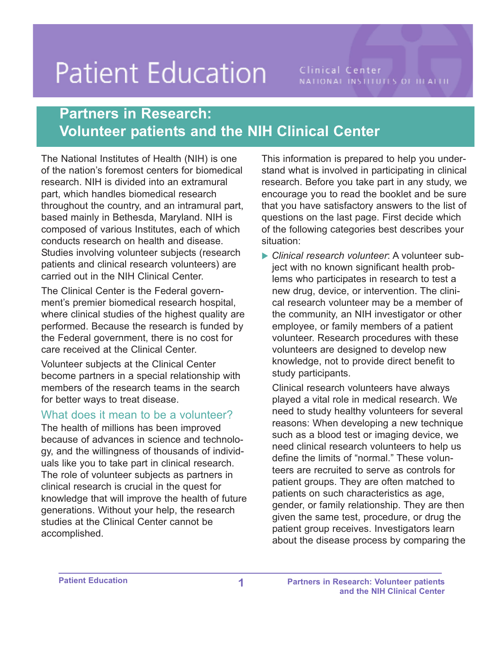# **Patient Education**

Clinical Center NATIONAL INSTITUTES OF ILLALTIC

# **Partners in Research: Volunteer patients and the NIH Clinical Center**

The National Institutes of Health (NIH) is one of the nation's foremost centers for biomedical research. NIH is divided into an extramural part, which handles biomedical research throughout the country, and an intramural part, based mainly in Bethesda, Maryland. NIH is composed of various Institutes, each of which conducts research on health and disease. Studies involving volunteer subjects (research patients and clinical research volunteers) are carried out in the NIH Clinical Center.

The Clinical Center is the Federal government's premier biomedical research hospital, where clinical studies of the highest quality are performed. Because the research is funded by the Federal government, there is no cost for care received at the Clinical Center.

Volunteer subjects at the Clinical Center become partners in a special relationship with members of the research teams in the search for better ways to treat disease.

#### What does it mean to be a volunteer?

The health of millions has been improved because of advances in science and technology, and the willingness of thousands of individuals like you to take part in clinical research. The role of volunteer subjects as partners in clinical research is crucial in the quest for knowledge that will improve the health of future generations. Without your help, the research studies at the Clinical Center cannot be accomplished.

This information is prepared to help you understand what is involved in participating in clinical research. Before you take part in any study, we encourage you to read the booklet and be sure that you have satisfactory answers to the list of questions on the last page. First decide which of the following categories best describes your situation:

� *Clinical research volunteer*: A volunteer subject with no known significant health problems who participates in research to test a new drug, device, or intervention. The clinical research volunteer may be a member of the community, an NIH investigator or other employee, or family members of a patient volunteer. Research procedures with these volunteers are designed to develop new knowledge, not to provide direct benefit to study participants.

Clinical research volunteers have always played a vital role in medical research. We need to study healthy volunteers for several reasons: When developing a new technique such as a blood test or imaging device, we need clinical research volunteers to help us define the limits of "normal." These volunteers are recruited to serve as controls for patient groups. They are often matched to patients on such characteristics as age, gender, or family relationship. They are then given the same test, procedure, or drug the patient group receives. Investigators learn about the disease process by comparing the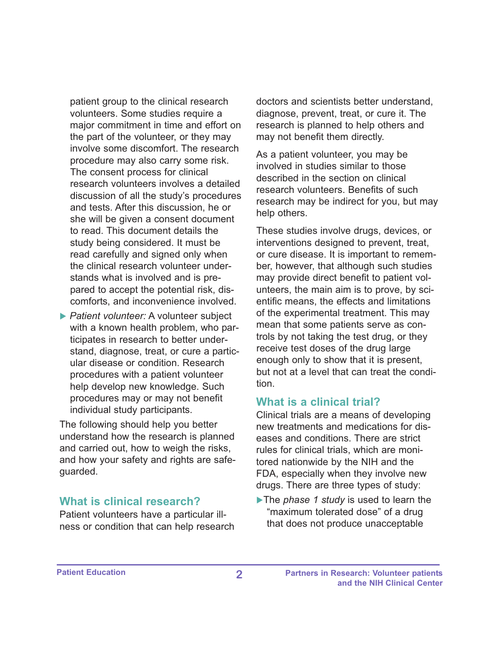patient group to the clinical research volunteers. Some studies require a major commitment in time and effort on the part of the volunteer, or they may involve some discomfort. The research procedure may also carry some risk. The consent process for clinical research volunteers involves a detailed discussion of all the study's procedures and tests. After this discussion, he or she will be given a consent document to read. This document details the study being considered. It must be read carefully and signed only when the clinical research volunteer understands what is involved and is prepared to accept the potential risk, discomforts, and inconvenience involved.

▶ *Patient volunteer:* A volunteer subject with a known health problem, who participates in research to better understand, diagnose, treat, or cure a particular disease or condition. Research procedures with a patient volunteer help develop new knowledge. Such procedures may or may not benefit individual study participants.

The following should help you better understand how the research is planned and carried out, how to weigh the risks, and how your safety and rights are safeguarded.

#### **What is clinical research?**

Patient volunteers have a particular illness or condition that can help research doctors and scientists better understand, diagnose, prevent, treat, or cure it. The research is planned to help others and may not benefit them directly.

As a patient volunteer, you may be involved in studies similar to those described in the section on clinical research volunteers. Benefits of such research may be indirect for you, but may help others.

These studies involve drugs, devices, or interventions designed to prevent, treat, or cure disease. It is important to remember, however, that although such studies may provide direct benefit to patient volunteers, the main aim is to prove, by scientific means, the effects and limitations of the experimental treatment. This may mean that some patients serve as controls by not taking the test drug, or they receive test doses of the drug large enough only to show that it is present, but not at a level that can treat the condition.

#### **What is a clinical trial?**

Clinical trials are a means of developing new treatments and medications for diseases and conditions. There are strict rules for clinical trials, which are monitored nationwide by the NIH and the FDA, especially when they involve new drugs. There are three types of study:

�The *phase 1 study* is used to learn the "maximum tolerated dose" of a drug that does not produce unacceptable

**Patient Education 2 Partners in Research: Volunteer patients and the NIH Clinical Center**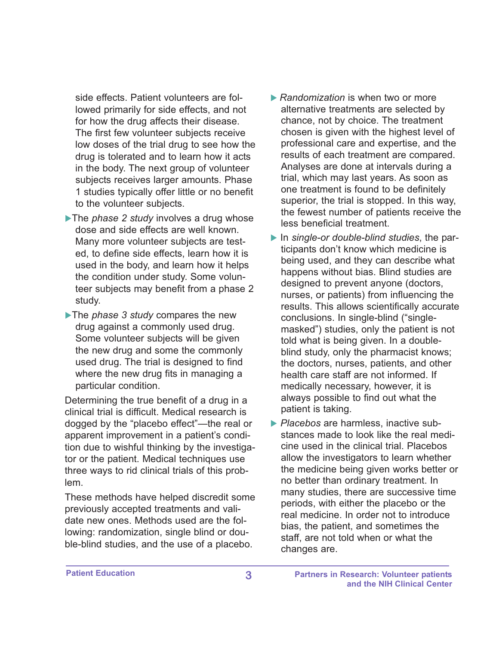side effects. Patient volunteers are followed primarily for side effects, and not for how the drug affects their disease. The first few volunteer subjects receive low doses of the trial drug to see how the drug is tolerated and to learn how it acts in the body. The next group of volunteer subjects receives larger amounts. Phase 1 studies typically offer little or no benefit to the volunteer subjects.

- �The *phase 2 study* involves a drug whose dose and side effects are well known. Many more volunteer subjects are tested, to define side effects, learn how it is used in the body, and learn how it helps the condition under study. Some volunteer subjects may benefit from a phase 2 study.
- �The *phase 3 study* compares the new drug against a commonly used drug. Some volunteer subjects will be given the new drug and some the commonly used drug. The trial is designed to find where the new drug fits in managing a particular condition.

Determining the true benefit of a drug in a clinical trial is difficult. Medical research is dogged by the "placebo effect"—the real or apparent improvement in a patient's condition due to wishful thinking by the investigator or the patient. Medical techniques use three ways to rid clinical trials of this problem.

These methods have helped discredit some previously accepted treatments and validate new ones. Methods used are the following: randomization, single blind or double-blind studies, and the use of a placebo.

- **▶ Randomization is when two or more** alternative treatments are selected by chance, not by choice. The treatment chosen is given with the highest level of professional care and expertise, and the results of each treatment are compared. Analyses are done at intervals during a trial, which may last years. As soon as one treatment is found to be definitely superior, the trial is stopped. In this way, the fewest number of patients receive the less beneficial treatment.
- ▶ In *single-or double-blind studies*, the participants don't know which medicine is being used, and they can describe what happens without bias. Blind studies are designed to prevent anyone (doctors, nurses, or patients) from influencing the results. This allows scientifically accurate conclusions. In single-blind ("singlemasked") studies, only the patient is not told what is being given. In a doubleblind study, only the pharmacist knows; the doctors, nurses, patients, and other health care staff are not informed. If medically necessary, however, it is always possible to find out what the patient is taking.
- � *Placebos* are harmless, inactive substances made to look like the real medicine used in the clinical trial. Placebos allow the investigators to learn whether the medicine being given works better or no better than ordinary treatment. In many studies, there are successive time periods, with either the placebo or the real medicine. In order not to introduce bias, the patient, and sometimes the staff, are not told when or what the changes are.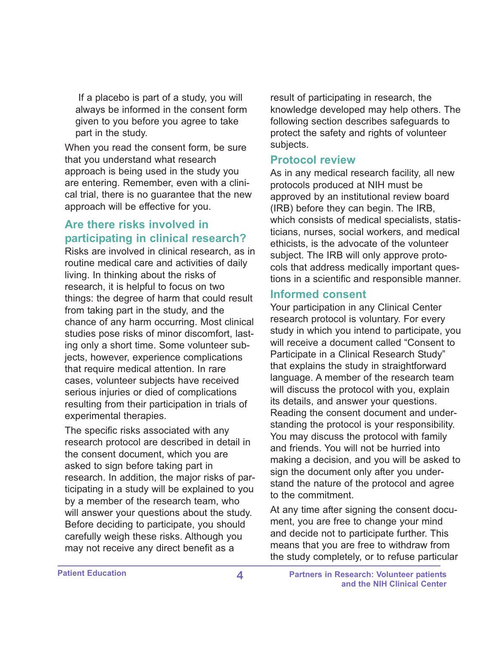If a placebo is part of a study, you will always be informed in the consent form given to you before you agree to take part in the study.

When you read the consent form, be sure that you understand what research approach is being used in the study you are entering. Remember, even with a clinical trial, there is no guarantee that the new approach will be effective for you.

# **Are there risks involved in participating in clinical research?**

Risks are involved in clinical research, as in routine medical care and activities of daily living. In thinking about the risks of research, it is helpful to focus on two things: the degree of harm that could result from taking part in the study, and the chance of any harm occurring. Most clinical studies pose risks of minor discomfort, lasting only a short time. Some volunteer subjects, however, experience complications that require medical attention. In rare cases, volunteer subjects have received serious injuries or died of complications resulting from their participation in trials of experimental therapies.

The specific risks associated with any research protocol are described in detail in the consent document, which you are asked to sign before taking part in research. In addition, the major risks of participating in a study will be explained to you by a member of the research team, who will answer your questions about the study. Before deciding to participate, you should carefully weigh these risks. Although you may not receive any direct benefit as a

result of participating in research, the knowledge developed may help others. The following section describes safeguards to protect the safety and rights of volunteer subjects.

#### **Protocol review**

As in any medical research facility, all new protocols produced at NIH must be approved by an institutional review board (IRB) before they can begin. The IRB, which consists of medical specialists, statisticians, nurses, social workers, and medical ethicists, is the advocate of the volunteer subject. The IRB will only approve protocols that address medically important questions in a scientific and responsible manner.

#### **Informed consent**

Your participation in any Clinical Center research protocol is voluntary. For every study in which you intend to participate, you will receive a document called "Consent to Participate in a Clinical Research Study" that explains the study in straightforward language. A member of the research team will discuss the protocol with you, explain its details, and answer your questions. Reading the consent document and understanding the protocol is your responsibility. You may discuss the protocol with family and friends. You will not be hurried into making a decision, and you will be asked to sign the document only after you understand the nature of the protocol and agree to the commitment.

At any time after signing the consent document, you are free to change your mind and decide not to participate further. This means that you are free to withdraw from the study completely, or to refuse particular